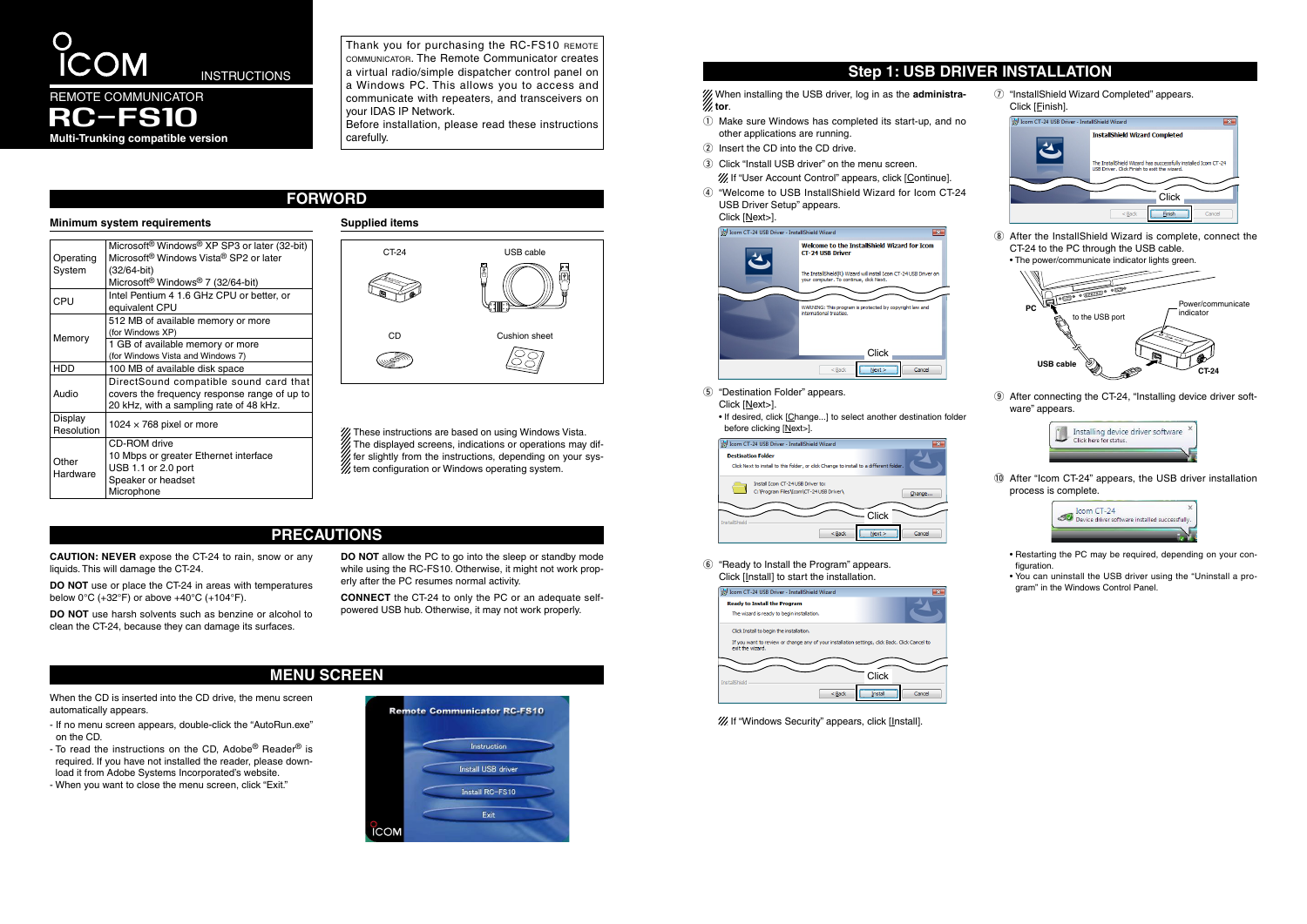Before installation, please read these instructions .carefully



REMOTE COMMUNICATOR **RC-FS10 Multi-Trunking compatible version** 

Thank you for purchasing the RC-FS10 REMOTE communicator. The Remote Communicator creates a virtual radio/simple dispatcher control panel on a Windows PC. This allows you to access and communicate with repeaters, and transceivers on vour IDAS IP Network.

# **FORWORD**

### **indum** System requirements **induced** Supplied items



**W** If "Windows Security" appears, click [Install].

 $\overline{O}$  "InstallShield Wizard Completed" appears. Click [Finish].

## **PRECAUTIONS**

**CAUTION: NEVER** expose the CT-24 to rain, snow or any liquids. This will damage the CT-24.

**DO NOT** use or place the CT-24 in areas with temperatures below  $0^{\circ}$ C (+32°F) or above +40°C (+104°F).

DO NOT use harsh solvents such as benzine or alcohol to clean the CT-24, because they can damage its surfaces.

# **DO NOT** allow the PC to go into the sleep or standby mode while using the RC-FS10. Otherwise, it might not work prop-<br>erly after the PC resumes normal activity.

powered USB hub. Otherwise, it may not work properly. **CONNECT** the CT-24 to only the PC or an adequate self-

# **MENU SCREEN**

When the CD is inserted into the CD drive, the menu screen automatically appears.

- If no menu screen appears, double-click the "AutoRun.exe" on the CD.
- To read the instructions on the CD. Adobe  $\mathbb{R}$  Reader  $\mathbb{R}$  is load it from Adobe Systems Incorporated's website. required. If you have not installed the reader, please down-
- When you want to close the menu screen, click "Exit."



# **Step 1: USB DRIVER INSTALLATION**

When installing the USB driver, log in as the **administra-**<br>**tor**.

- 1) Make sure Windows has completed its start-up, and no other applications are running.
- $\Omega$  Insert the CD into the CD drive.
- (3) Click "Install USB driver" on the menu screen. W If "User Account Control" appears, click [Continue].
- 4) "Welcome to USB InstallShield Wizard for Icom CT-24 USB Driver Setup" appears.  $Click [Next>]$ .



**9** After connecting the CT-24, "Installing device driver software" appears.



10 After "Icom CT-24" appears, the USB driver installation process is complete.



- Restarting the PC may be required, depending on your con-<br>figuration.
- You can uninstall the USB driver using the "Uninstall a pro-<br>gram" in the Windows Control Panel.

| Operating<br>System   | Microsoft <sup>®</sup> Windows <sup>®</sup> XP SP3 or later (32-bit)<br>Microsoft <sup>®</sup> Windows Vista <sup>®</sup> SP2 or later<br>(32/64-bit)<br>Microsoft <sup>®</sup> Windows <sup>®</sup> 7 (32/64-bit) |  |
|-----------------------|--------------------------------------------------------------------------------------------------------------------------------------------------------------------------------------------------------------------|--|
| CPU                   | Intel Pentium 4 1.6 GHz CPU or better, or<br>equivalent CPU                                                                                                                                                        |  |
|                       | 512 MB of available memory or more<br>(for Windows XP)                                                                                                                                                             |  |
| Memory                | 1 GB of available memory or more<br>(for Windows Vista and Windows 7)                                                                                                                                              |  |
| HDD                   | 100 MB of available disk space                                                                                                                                                                                     |  |
| Audio                 | DirectSound compatible sound card that<br>covers the frequency response range of up to<br>20 kHz, with a sampling rate of 48 kHz.                                                                                  |  |
| Display<br>Resolution | 1024 $\times$ 768 pixel or more                                                                                                                                                                                    |  |
| Other<br>Hardware     | CD-ROM drive<br>10 Mbps or greater Ethernet interface<br>USB 1.1 or 2.0 port<br>Speaker or headset<br>Microphone                                                                                                   |  |



These instructions are based on using Windows Vista. fer slightly from the instructions, depending on your sys-<br>tem configuration or Windows operating system. The displayed screens, indications or operations may dif-<br>fer slightly from the instructions, depending on your sys-



- (5) "Destination Folder" appears.
- Click [Next>].

• If desired, click [Change...] to select another destination folder before clicking [Next>].



 $\overline{6}$  "Ready to Install the Program" appears. Click [Install] to start the installation.



 $(8)$  After the InstallShield Wizard is complete, connect the CT-24 to the PC through the USB cable.